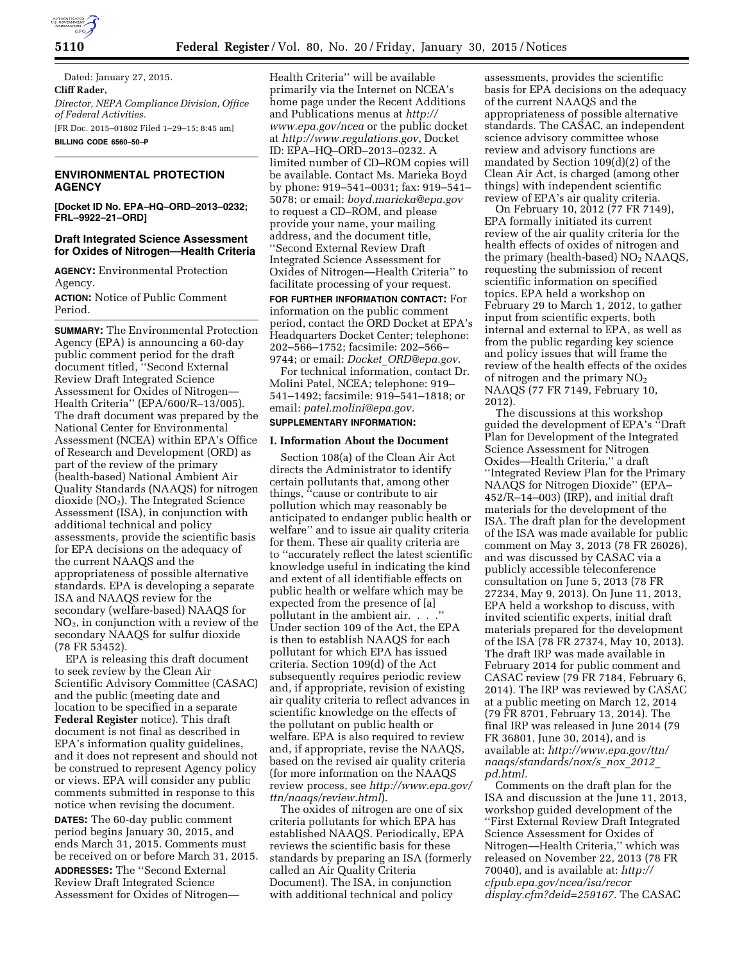

Dated: January 27, 2015. **Cliff Rader,**  *Director, NEPA Compliance Division, Office of Federal Activities.*  [FR Doc. 2015–01802 Filed 1–29–15; 8:45 am] **BILLING CODE 6560–50–P** 

## **ENVIRONMENTAL PROTECTION AGENCY**

**[Docket ID No. EPA–HQ–ORD–2013–0232; FRL–9922–21–ORD]** 

#### **Draft Integrated Science Assessment for Oxides of Nitrogen—Health Criteria**

**AGENCY:** Environmental Protection Agency.

**ACTION:** Notice of Public Comment Period.

**SUMMARY:** The Environmental Protection Agency (EPA) is announcing a 60-day public comment period for the draft document titled, ''Second External Review Draft Integrated Science Assessment for Oxides of Nitrogen— Health Criteria'' (EPA/600/R–13/005). The draft document was prepared by the National Center for Environmental Assessment (NCEA) within EPA's Office of Research and Development (ORD) as part of the review of the primary (health-based) National Ambient Air Quality Standards (NAAQS) for nitrogen dioxide (NO2). The Integrated Science Assessment (ISA), in conjunction with additional technical and policy assessments, provide the scientific basis for EPA decisions on the adequacy of the current NAAQS and the appropriateness of possible alternative standards. EPA is developing a separate ISA and NAAQS review for the secondary (welfare-based) NAAQS for NO2, in conjunction with a review of the secondary NAAQS for sulfur dioxide (78 FR 53452).

EPA is releasing this draft document to seek review by the Clean Air Scientific Advisory Committee (CASAC) and the public (meeting date and location to be specified in a separate **Federal Register** notice). This draft document is not final as described in EPA's information quality guidelines, and it does not represent and should not be construed to represent Agency policy or views. EPA will consider any public comments submitted in response to this notice when revising the document.

**DATES:** The 60-day public comment period begins January 30, 2015, and ends March 31, 2015. Comments must be received on or before March 31, 2015.

**ADDRESSES:** The ''Second External Review Draft Integrated Science Assessment for Oxides of Nitrogen—

Health Criteria'' will be available primarily via the Internet on NCEA's home page under the Recent Additions and Publications menus at *[http://](http://www.epa.gov/ncea) [www.epa.gov/ncea](http://www.epa.gov/ncea)* or the public docket at *<http://www.regulations.gov>*, Docket ID: EPA–HQ–ORD–2013–0232. A limited number of CD–ROM copies will be available. Contact Ms. Marieka Boyd by phone: 919–541–0031; fax: 919–541– 5078; or email: *[boyd.marieka@epa.gov](mailto:boyd.marieka@epa.gov)*  to request a CD–ROM, and please provide your name, your mailing address, and the document title, ''Second External Review Draft Integrated Science Assessment for Oxides of Nitrogen—Health Criteria'' to facilitate processing of your request.

**FOR FURTHER INFORMATION CONTACT:** For information on the public comment period, contact the ORD Docket at EPA's Headquarters Docket Center; telephone: 202–566–1752; facsimile: 202–566– 9744; or email: *Docket*\_*[ORD@epa.gov.](mailto:Docket_ORD@epa.gov)* 

For technical information, contact Dr. Molini Patel, NCEA; telephone: 919– 541–1492; facsimile: 919–541–1818; or email: *[patel.molini@epa.gov.](mailto:patel.molini@epa.gov)* 

# **SUPPLEMENTARY INFORMATION:**

## **I. Information About the Document**

Section 108(a) of the Clean Air Act directs the Administrator to identify certain pollutants that, among other things, ''cause or contribute to air pollution which may reasonably be anticipated to endanger public health or welfare'' and to issue air quality criteria for them. These air quality criteria are to ''accurately reflect the latest scientific knowledge useful in indicating the kind and extent of all identifiable effects on public health or welfare which may be expected from the presence of [a] pollutant in the ambient air. . . . Under section 109 of the Act, the EPA is then to establish NAAQS for each pollutant for which EPA has issued criteria. Section 109(d) of the Act subsequently requires periodic review and, if appropriate, revision of existing air quality criteria to reflect advances in scientific knowledge on the effects of the pollutant on public health or welfare. EPA is also required to review and, if appropriate, revise the NAAQS, based on the revised air quality criteria (for more information on the NAAQS review process, see *[http://www.epa.gov/](http://www.epa.gov/ttn/naaqs/review.html)  [ttn/naaqs/review.html](http://www.epa.gov/ttn/naaqs/review.html)*).

The oxides of nitrogen are one of six criteria pollutants for which EPA has established NAAQS. Periodically, EPA reviews the scientific basis for these standards by preparing an ISA (formerly called an Air Quality Criteria Document). The ISA, in conjunction with additional technical and policy

assessments, provides the scientific basis for EPA decisions on the adequacy of the current NAAQS and the appropriateness of possible alternative standards. The CASAC, an independent science advisory committee whose review and advisory functions are mandated by Section 109(d)(2) of the Clean Air Act, is charged (among other things) with independent scientific review of EPA's air quality criteria.

On February 10, 2012 (77 FR 7149), EPA formally initiated its current review of the air quality criteria for the health effects of oxides of nitrogen and the primary (health-based)  $NO<sub>2</sub> NAAQS$ , requesting the submission of recent scientific information on specified topics. EPA held a workshop on February 29 to March 1, 2012, to gather input from scientific experts, both internal and external to EPA, as well as from the public regarding key science and policy issues that will frame the review of the health effects of the oxides of nitrogen and the primary  $NO<sub>2</sub>$ NAAQS (77 FR 7149, February 10, 2012).

The discussions at this workshop guided the development of EPA's ''Draft Plan for Development of the Integrated Science Assessment for Nitrogen Oxides—Health Criteria,'' a draft ''Integrated Review Plan for the Primary NAAQS for Nitrogen Dioxide'' (EPA– 452/R–14–003) (IRP), and initial draft materials for the development of the ISA. The draft plan for the development of the ISA was made available for public comment on May 3, 2013 (78 FR 26026), and was discussed by CASAC via a publicly accessible teleconference consultation on June 5, 2013 (78 FR 27234, May 9, 2013). On June 11, 2013, EPA held a workshop to discuss, with invited scientific experts, initial draft materials prepared for the development of the ISA (78 FR 27374, May 10, 2013). The draft IRP was made available in February 2014 for public comment and CASAC review (79 FR 7184, February 6, 2014). The IRP was reviewed by CASAC at a public meeting on March 12, 2014 (79 FR 8701, February 13, 2014). The final IRP was released in June 2014 (79 FR 36801, June 30, 2014), and is available at: *[http://www.epa.gov/ttn/](http://www.epa.gov/ttn/naaqs/standards/nox/s_nox_2012_pd.html) [naaqs/standards/nox/s](http://www.epa.gov/ttn/naaqs/standards/nox/s_nox_2012_pd.html)*\_*nox*\_*2012*\_ *[pd.html.](http://www.epa.gov/ttn/naaqs/standards/nox/s_nox_2012_pd.html)* 

Comments on the draft plan for the ISA and discussion at the June 11, 2013, workshop guided development of the ''First External Review Draft Integrated Science Assessment for Oxides of Nitrogen—Health Criteria,'' which was released on November 22, 2013 (78 FR 70040), and is available at: *[http://](http://cfpub.epa.gov/ncea/isa/recordisplay.cfm?deid=259167) [cfpub.epa.gov/ncea/isa/recor](http://cfpub.epa.gov/ncea/isa/recordisplay.cfm?deid=259167) [display.cfm?deid=259167.](http://cfpub.epa.gov/ncea/isa/recordisplay.cfm?deid=259167)* The CASAC